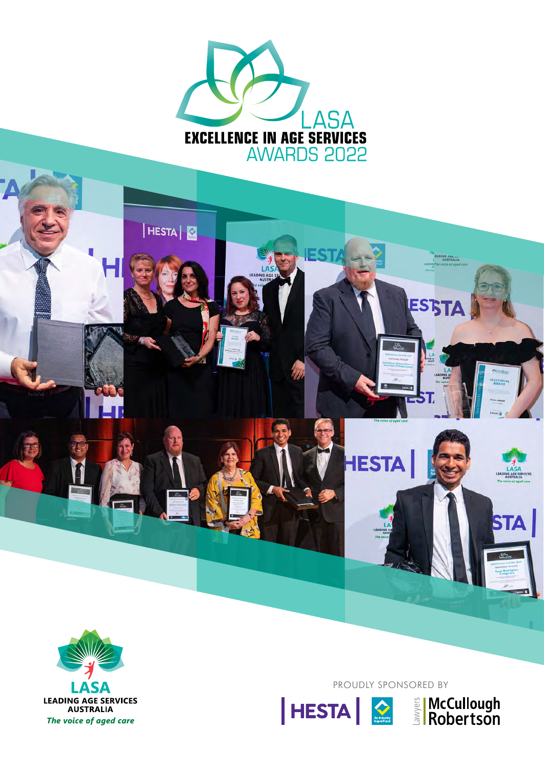



PROUDLY SPONSORED BY

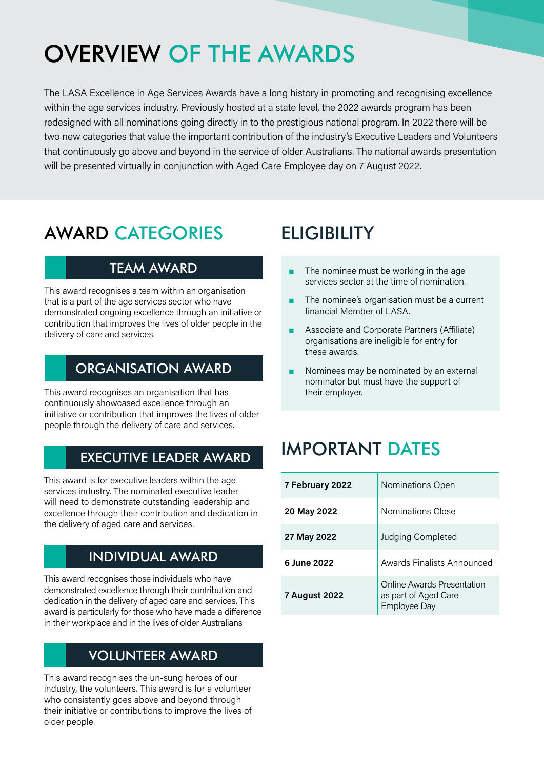# OVERVIEW OF THE AWARDS

The LASA Excellence in Age Services Awards have a long history in promoting and recognising excellence within the age services industry. Previously hosted at a state level, the 2022 awards program has been redesigned with all nominations going directly in to the prestigious national program. In 2022 there will be two new categories that value the important contribution of the industry's Executive Leaders and Volunteers that continuously go above and beyond in the service of older Australians. The national awards presentation will be presented virtually in conjunction with Aged Care Employee day on 7 August 2022.

## AWARD CATEGORIES

### TEAM AWARD

This award recognises a team within an organisation that is a part of the age services sector who have demonstrated ongoing excellence through an initiative or contribution that improves the lives of older people in the delivery of care and services.

### ORGANISATION AWARD

This award recognises an organisation that has continuously showcased excellence through an initiative or contribution that improves the lives of older people through the delivery of care and services.

#### EXECUTIVE LEADER AWARD

This award is for executive leaders within the age services industry. The nominated executive leader will need to demonstrate outstanding leadership and excellence through their contribution and dedication in the delivery of aged care and services.

### INDIVIDUAL AWARD

This award recognises those individuals who have demonstrated excellence through their contribution and dedication in the delivery of aged care and services. This award is particularly for those who have made a difference in their workplace and in the lives of older Australians

### VOLUNTEER AWARD

This award recognises the un-sung heroes of our industry, the volunteers. This award is for a volunteer who consistently goes above and beyond through their initiative or contributions to improve the lives of older people.

## **ELIGIBILITY**

- The nominee must be working in the age services sector at the time of nomination.
- The nominee's organisation must be a current financial Member of LASA.
- Associate and Corporate Partners (Affiliate) organisations are ineligible for entry for these awards.
- Nominees may be nominated by an external nominator but must have the support of their employer.

## IMPORTANT DATES

| 7 February 2022      | Nominations Open                                                   |
|----------------------|--------------------------------------------------------------------|
| 20 May 2022          | Nominations Close                                                  |
| 27 May 2022          | Judging Completed                                                  |
| 6 June 2022          | Awards Finalists Announced                                         |
| <b>7 August 2022</b> | Online Awards Presentation<br>as part of Aged Care<br>Employee Day |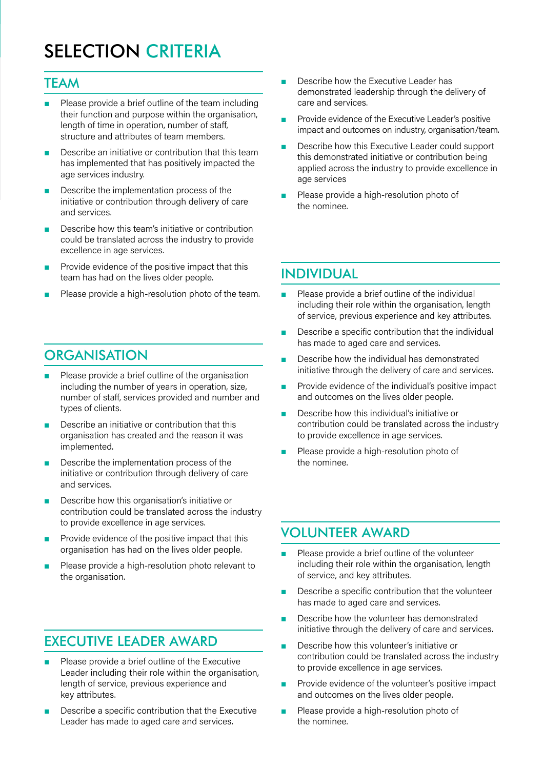## SELECTION CRITERIA

#### **TEAM**

- Please provide a brief outline of the team including their function and purpose within the organisation, length of time in operation, number of staff, structure and attributes of team members.
- Describe an initiative or contribution that this team has implemented that has positively impacted the age services industry.
- Describe the implementation process of the initiative or contribution through delivery of care and services.
- Describe how this team's initiative or contribution could be translated across the industry to provide excellence in age services.
- Provide evidence of the positive impact that this team has had on the lives older people.
- Please provide a high-resolution photo of the team.

### **ORGANISATION**

- Please provide a brief outline of the organisation including the number of years in operation, size, number of staff, services provided and number and types of clients.
- Describe an initiative or contribution that this organisation has created and the reason it was implemented.
- Describe the implementation process of the initiative or contribution through delivery of care and services.
- Describe how this organisation's initiative or contribution could be translated across the industry to provide excellence in age services.
- Provide evidence of the positive impact that this organisation has had on the lives older people.
- Please provide a high-resolution photo relevant to the organisation.

### EXECUTIVE LEADER AWARD

- Please provide a brief outline of the Executive Leader including their role within the organisation, length of service, previous experience and key attributes.
- Describe a specific contribution that the Executive Leader has made to aged care and services.
- Describe how the Executive Leader has demonstrated leadership through the delivery of care and services.
- Provide evidence of the Executive Leader's positive impact and outcomes on industry, organisation/team.
- Describe how this Executive Leader could support this demonstrated initiative or contribution being applied across the industry to provide excellence in age services
- Please provide a high-resolution photo of the nominee.

#### INDIVIDUAL

- Please provide a brief outline of the individual including their role within the organisation, length of service, previous experience and key attributes.
- Describe a specific contribution that the individual has made to aged care and services.
- Describe how the individual has demonstrated initiative through the delivery of care and services.
- Provide evidence of the individual's positive impact and outcomes on the lives older people.
- Describe how this individual's initiative or contribution could be translated across the industry to provide excellence in age services.
- Please provide a high-resolution photo of the nominee.

#### VOLUNTEER AWARD

- Please provide a brief outline of the volunteer including their role within the organisation, length of service, and key attributes.
- Describe a specific contribution that the volunteer has made to aged care and services.
- Describe how the volunteer has demonstrated initiative through the delivery of care and services.
- Describe how this volunteer's initiative or contribution could be translated across the industry to provide excellence in age services.
- Provide evidence of the volunteer's positive impact and outcomes on the lives older people.
- Please provide a high-resolution photo of the nominee.